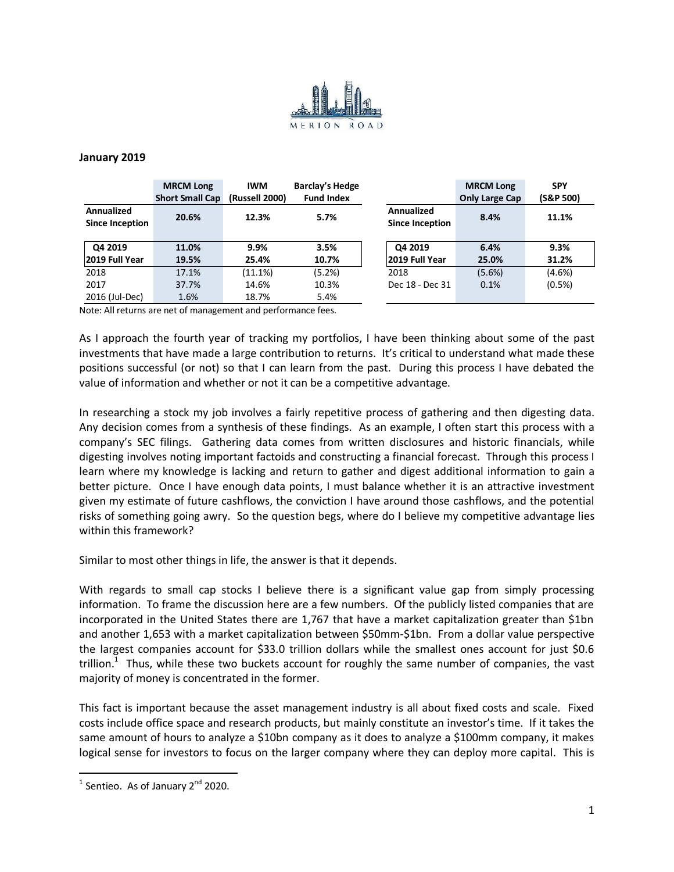

## **January 2019**

|                                      | <b>MRCM Long</b><br><b>Short Small Cap</b> | <b>IWM</b><br>(Russell 2000) | Barclay's Hedge<br><b>Fund Index</b> |                                      | <b>MRCM Long</b><br><b>Only Large Cap</b> | <b>SPY</b><br>(S&P 500) |
|--------------------------------------|--------------------------------------------|------------------------------|--------------------------------------|--------------------------------------|-------------------------------------------|-------------------------|
| Annualized<br><b>Since Inception</b> | 20.6%                                      | 12.3%                        | 5.7%                                 | Annualized<br><b>Since Inception</b> | 8.4%                                      | 11.1%                   |
| Q4 2019<br>2019 Full Year            | 11.0%<br>19.5%                             | 9.9%<br>25.4%                | 3.5%<br>10.7%                        | Q4 2019<br>2019 Full Year            | 6.4%<br>25.0%                             | 9.3%<br>31.2%           |
| 2018                                 | 17.1%                                      | $(11.1\%)$                   | (5.2%)                               | 2018                                 | (5.6%)                                    | $(4.6\%)$               |
| 2017                                 | 37.7%                                      | 14.6%                        | 10.3%                                | Dec 18 - Dec 31                      | 0.1%                                      | (0.5%)                  |
| 2016 (Jul-Dec)                       | 1.6%                                       | 18.7%                        | 5.4%                                 |                                      |                                           |                         |

Note: All returns are net of management and performance fees.

As I approach the fourth year of tracking my portfolios, I have been thinking about some of the past investments that have made a large contribution to returns. It's critical to understand what made these positions successful (or not) so that I can learn from the past. During this process I have debated the value of information and whether or not it can be a competitive advantage.

In researching a stock my job involves a fairly repetitive process of gathering and then digesting data. Any decision comes from a synthesis of these findings. As an example, I often start this process with a company's SEC filings. Gathering data comes from written disclosures and historic financials, while digesting involves noting important factoids and constructing a financial forecast. Through this process I learn where my knowledge is lacking and return to gather and digest additional information to gain a better picture. Once I have enough data points, I must balance whether it is an attractive investment given my estimate of future cashflows, the conviction I have around those cashflows, and the potential risks of something going awry. So the question begs, where do I believe my competitive advantage lies within this framework?

Similar to most other things in life, the answer is that it depends.

With regards to small cap stocks I believe there is a significant value gap from simply processing information. To frame the discussion here are a few numbers. Of the publicly listed companies that are incorporated in the United States there are 1,767 that have a market capitalization greater than \$1bn and another 1,653 with a market capitalization between \$50mm-\$1bn. From a dollar value perspective the largest companies account for \$33.0 trillion dollars while the smallest ones account for just \$0.6 trillion.<sup>1</sup> Thus, while these two buckets account for roughly the same number of companies, the vast majority of money is concentrated in the former.

This fact is important because the asset management industry is all about fixed costs and scale. Fixed costs include office space and research products, but mainly constitute an investor's time. If it takes the same amount of hours to analyze a \$10bn company as it does to analyze a \$100mm company, it makes logical sense for investors to focus on the larger company where they can deploy more capital. This is

 $^1$  Sentieo. As of January 2<sup>nd</sup> 2020.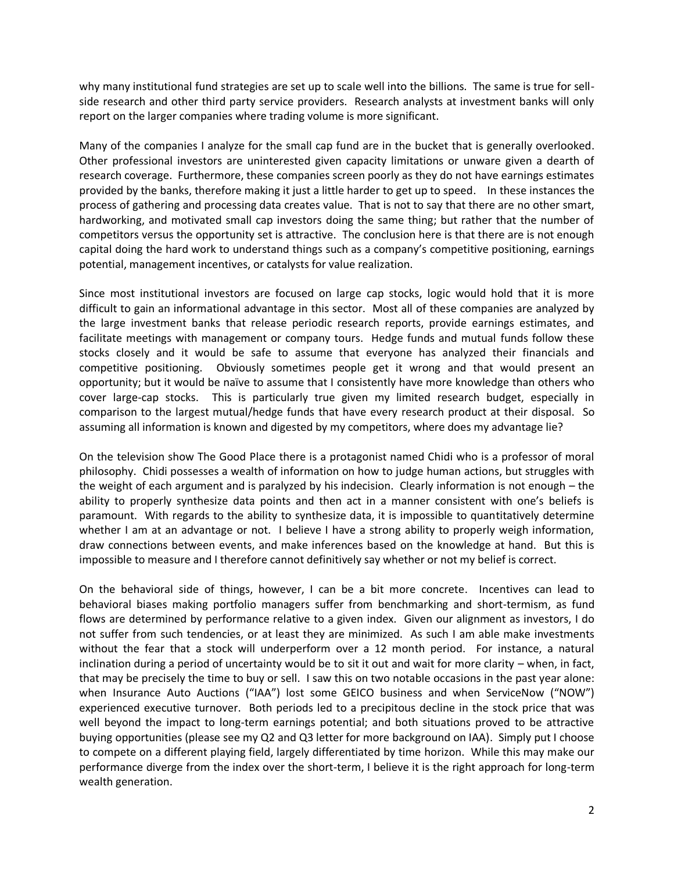why many institutional fund strategies are set up to scale well into the billions. The same is true for sellside research and other third party service providers. Research analysts at investment banks will only report on the larger companies where trading volume is more significant.

Many of the companies I analyze for the small cap fund are in the bucket that is generally overlooked. Other professional investors are uninterested given capacity limitations or unware given a dearth of research coverage. Furthermore, these companies screen poorly as they do not have earnings estimates provided by the banks, therefore making it just a little harder to get up to speed. In these instances the process of gathering and processing data creates value. That is not to say that there are no other smart, hardworking, and motivated small cap investors doing the same thing; but rather that the number of competitors versus the opportunity set is attractive. The conclusion here is that there are is not enough capital doing the hard work to understand things such as a company's competitive positioning, earnings potential, management incentives, or catalysts for value realization.

Since most institutional investors are focused on large cap stocks, logic would hold that it is more difficult to gain an informational advantage in this sector. Most all of these companies are analyzed by the large investment banks that release periodic research reports, provide earnings estimates, and facilitate meetings with management or company tours. Hedge funds and mutual funds follow these stocks closely and it would be safe to assume that everyone has analyzed their financials and competitive positioning. Obviously sometimes people get it wrong and that would present an opportunity; but it would be naïve to assume that I consistently have more knowledge than others who cover large-cap stocks. This is particularly true given my limited research budget, especially in comparison to the largest mutual/hedge funds that have every research product at their disposal. So assuming all information is known and digested by my competitors, where does my advantage lie?

On the television show The Good Place there is a protagonist named Chidi who is a professor of moral philosophy. Chidi possesses a wealth of information on how to judge human actions, but struggles with the weight of each argument and is paralyzed by his indecision. Clearly information is not enough – the ability to properly synthesize data points and then act in a manner consistent with one's beliefs is paramount. With regards to the ability to synthesize data, it is impossible to quantitatively determine whether I am at an advantage or not. I believe I have a strong ability to properly weigh information, draw connections between events, and make inferences based on the knowledge at hand. But this is impossible to measure and I therefore cannot definitively say whether or not my belief is correct.

On the behavioral side of things, however, I can be a bit more concrete. Incentives can lead to behavioral biases making portfolio managers suffer from benchmarking and short-termism, as fund flows are determined by performance relative to a given index. Given our alignment as investors, I do not suffer from such tendencies, or at least they are minimized. As such I am able make investments without the fear that a stock will underperform over a 12 month period. For instance, a natural inclination during a period of uncertainty would be to sit it out and wait for more clarity – when, in fact, that may be precisely the time to buy or sell. I saw this on two notable occasions in the past year alone: when Insurance Auto Auctions ("IAA") lost some GEICO business and when ServiceNow ("NOW") experienced executive turnover. Both periods led to a precipitous decline in the stock price that was well beyond the impact to long-term earnings potential; and both situations proved to be attractive buying opportunities (please see my Q2 and Q3 letter for more background on IAA). Simply put I choose to compete on a different playing field, largely differentiated by time horizon. While this may make our performance diverge from the index over the short-term, I believe it is the right approach for long-term wealth generation.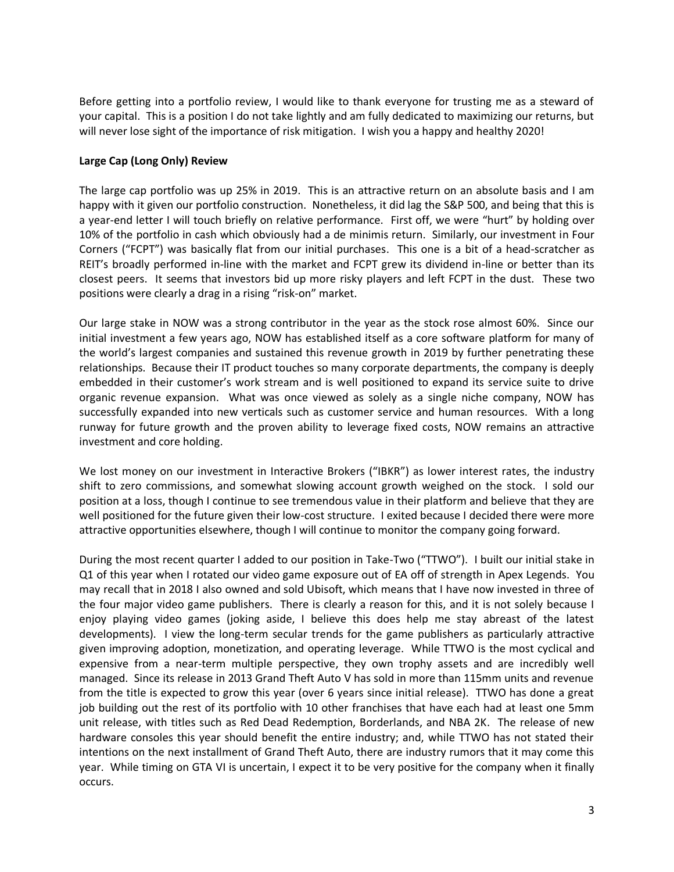Before getting into a portfolio review, I would like to thank everyone for trusting me as a steward of your capital. This is a position I do not take lightly and am fully dedicated to maximizing our returns, but will never lose sight of the importance of risk mitigation. I wish you a happy and healthy 2020!

## **Large Cap (Long Only) Review**

The large cap portfolio was up 25% in 2019. This is an attractive return on an absolute basis and I am happy with it given our portfolio construction. Nonetheless, it did lag the S&P 500, and being that this is a year-end letter I will touch briefly on relative performance. First off, we were "hurt" by holding over 10% of the portfolio in cash which obviously had a de minimis return. Similarly, our investment in Four Corners ("FCPT") was basically flat from our initial purchases. This one is a bit of a head-scratcher as REIT's broadly performed in-line with the market and FCPT grew its dividend in-line or better than its closest peers. It seems that investors bid up more risky players and left FCPT in the dust. These two positions were clearly a drag in a rising "risk-on" market.

Our large stake in NOW was a strong contributor in the year as the stock rose almost 60%. Since our initial investment a few years ago, NOW has established itself as a core software platform for many of the world's largest companies and sustained this revenue growth in 2019 by further penetrating these relationships. Because their IT product touches so many corporate departments, the company is deeply embedded in their customer's work stream and is well positioned to expand its service suite to drive organic revenue expansion. What was once viewed as solely as a single niche company, NOW has successfully expanded into new verticals such as customer service and human resources. With a long runway for future growth and the proven ability to leverage fixed costs, NOW remains an attractive investment and core holding.

We lost money on our investment in Interactive Brokers ("IBKR") as lower interest rates, the industry shift to zero commissions, and somewhat slowing account growth weighed on the stock. I sold our position at a loss, though I continue to see tremendous value in their platform and believe that they are well positioned for the future given their low-cost structure. I exited because I decided there were more attractive opportunities elsewhere, though I will continue to monitor the company going forward.

During the most recent quarter I added to our position in Take-Two ("TTWO"). I built our initial stake in Q1 of this year when I rotated our video game exposure out of EA off of strength in Apex Legends. You may recall that in 2018 I also owned and sold Ubisoft, which means that I have now invested in three of the four major video game publishers. There is clearly a reason for this, and it is not solely because I enjoy playing video games (joking aside, I believe this does help me stay abreast of the latest developments). I view the long-term secular trends for the game publishers as particularly attractive given improving adoption, monetization, and operating leverage. While TTWO is the most cyclical and expensive from a near-term multiple perspective, they own trophy assets and are incredibly well managed. Since its release in 2013 Grand Theft Auto V has sold in more than 115mm units and revenue from the title is expected to grow this year (over 6 years since initial release). TTWO has done a great job building out the rest of its portfolio with 10 other franchises that have each had at least one 5mm unit release, with titles such as Red Dead Redemption, Borderlands, and NBA 2K. The release of new hardware consoles this year should benefit the entire industry; and, while TTWO has not stated their intentions on the next installment of Grand Theft Auto, there are industry rumors that it may come this year. While timing on GTA VI is uncertain, I expect it to be very positive for the company when it finally occurs.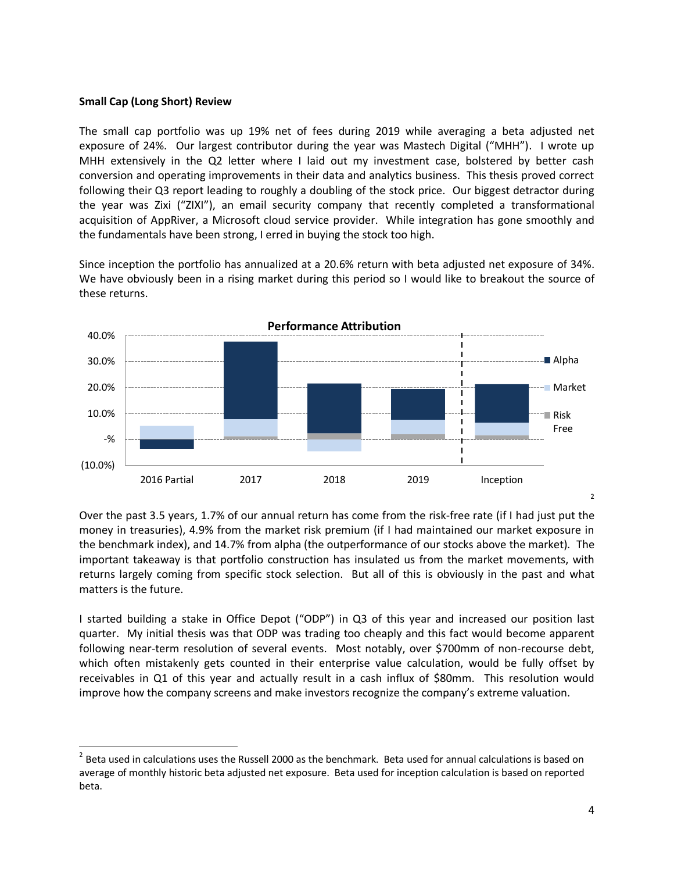## **Small Cap (Long Short) Review**

 $\overline{\phantom{a}}$ 

The small cap portfolio was up 19% net of fees during 2019 while averaging a beta adjusted net exposure of 24%. Our largest contributor during the year was Mastech Digital ("MHH"). I wrote up MHH extensively in the Q2 letter where I laid out my investment case, bolstered by better cash conversion and operating improvements in their data and analytics business. This thesis proved correct following their Q3 report leading to roughly a doubling of the stock price. Our biggest detractor during the year was Zixi ("ZIXI"), an email security company that recently completed a transformational acquisition of AppRiver, a Microsoft cloud service provider. While integration has gone smoothly and the fundamentals have been strong, I erred in buying the stock too high.

Since inception the portfolio has annualized at a 20.6% return with beta adjusted net exposure of 34%. We have obviously been in a rising market during this period so I would like to breakout the source of these returns.



Over the past 3.5 years, 1.7% of our annual return has come from the risk-free rate (if I had just put the money in treasuries), 4.9% from the market risk premium (if I had maintained our market exposure in the benchmark index), and 14.7% from alpha (the outperformance of our stocks above the market). The important takeaway is that portfolio construction has insulated us from the market movements, with returns largely coming from specific stock selection. But all of this is obviously in the past and what matters is the future.

I started building a stake in Office Depot ("ODP") in Q3 of this year and increased our position last quarter. My initial thesis was that ODP was trading too cheaply and this fact would become apparent following near-term resolution of several events. Most notably, over \$700mm of non-recourse debt, which often mistakenly gets counted in their enterprise value calculation, would be fully offset by receivables in Q1 of this year and actually result in a cash influx of \$80mm. This resolution would improve how the company screens and make investors recognize the company's extreme valuation.

 $^2$  Beta used in calculations uses the Russell 2000 as the benchmark. Beta used for annual calculations is based on average of monthly historic beta adjusted net exposure. Beta used for inception calculation is based on reported beta.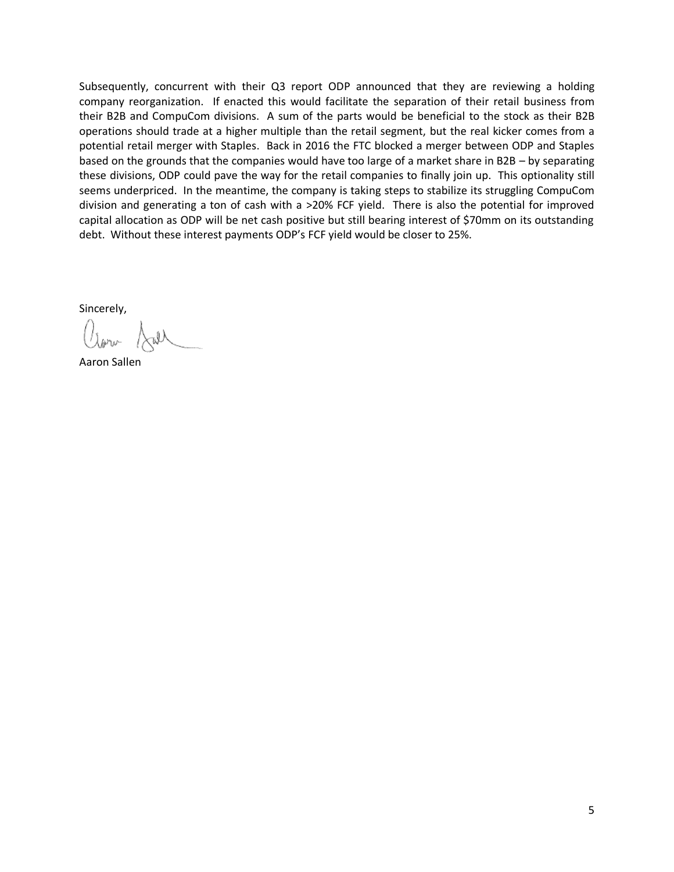Subsequently, concurrent with their Q3 report ODP announced that they are reviewing a holding company reorganization. If enacted this would facilitate the separation of their retail business from their B2B and CompuCom divisions. A sum of the parts would be beneficial to the stock as their B2B operations should trade at a higher multiple than the retail segment, but the real kicker comes from a potential retail merger with Staples. Back in 2016 the FTC blocked a merger between ODP and Staples based on the grounds that the companies would have too large of a market share in B2B – by separating these divisions, ODP could pave the way for the retail companies to finally join up. This optionality still seems underpriced. In the meantime, the company is taking steps to stabilize its struggling CompuCom division and generating a ton of cash with a >20% FCF yield. There is also the potential for improved capital allocation as ODP will be net cash positive but still bearing interest of \$70mm on its outstanding debt. Without these interest payments ODP's FCF yield would be closer to 25%.

Sincerely,

 $\left(\frac{1}{\lambda_{\text{th}}} \right)$ 

Aaron Sallen